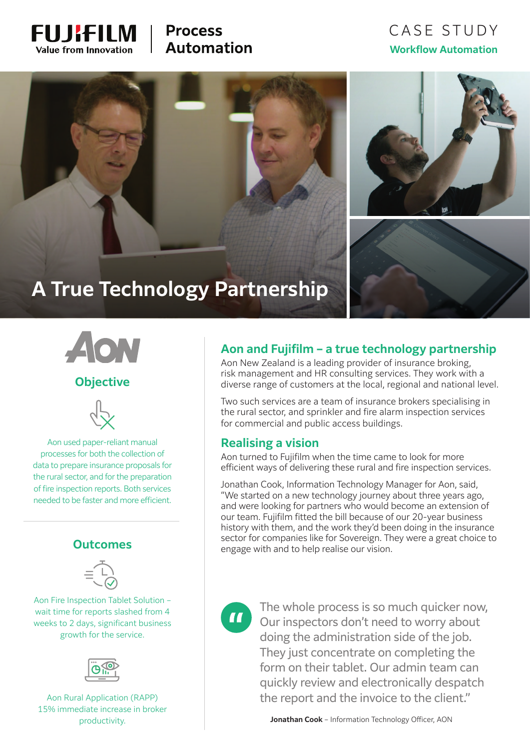

# **Process Automation**

# CASE STUDY **Workflow Automation**



# **A True Technology Partnership**



### **Objective**



Aon used paper-reliant manual processes for both the collection of data to prepare insurance proposals for the rural sector, and for the preparation of fire inspection reports. Both services needed to be faster and more efficient.

### **Outcomes**



Aon Fire Inspection Tablet Solution – wait time for reports slashed from 4 weeks to 2 days, significant business growth for the service.



Aon Rural Application (RAPP) 15% immediate increase in broker

## **Aon and Fujifilm – a true technology partnership**

Aon New Zealand is a leading provider of insurance broking, risk management and HR consulting services. They work with a diverse range of customers at the local, regional and national level.

Two such services are a team of insurance brokers specialising in the rural sector, and sprinkler and fire alarm inspection services for commercial and public access buildings.

#### **Realising a vision**

Aon turned to Fujifilm when the time came to look for more efficient ways of delivering these rural and fire inspection services.

Jonathan Cook, Information Technology Manager for Aon, said, "We started on a new technology journey about three years ago, and were looking for partners who would become an extension of our team. Fujifilm fitted the bill because of our 20-year business history with them, and the work they'd been doing in the insurance sector for companies like for Sovereign. They were a great choice to engage with and to help realise our vision.

 $\mathbf{u}$ 

The whole process is so much quicker now, Our inspectors don't need to worry about doing the administration side of the job. They just concentrate on completing the form on their tablet. Our admin team can quickly review and electronically despatch the report and the invoice to the client."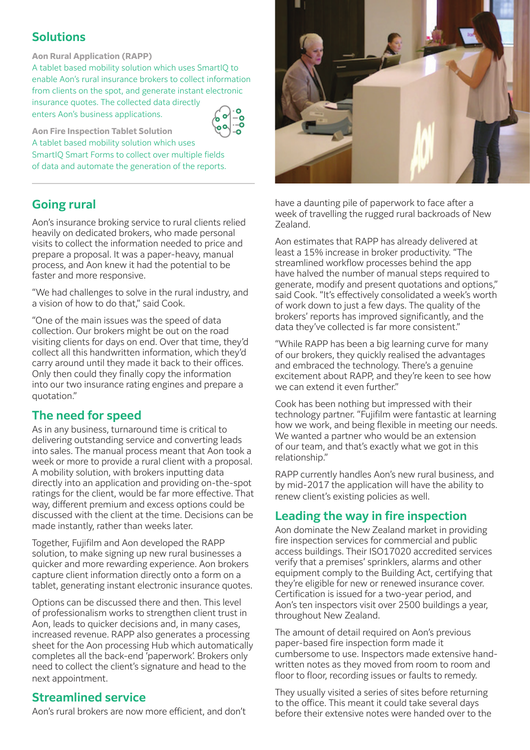## **Solutions**

**Aon Rural Application (RAPP)** 

A tablet based mobility solution which uses SmartIQ to enable Aon's rural insurance brokers to collect information from clients on the spot, and generate instant electronic insurance quotes. The collected data directly enters Aon's business applications.

**Aon Fire Inspection Tablet Solution**

A tablet based mobility solution which uses SmartIQ Smart Forms to collect over multiple fields of data and automate the generation of the reports.

## **Going rural**

Aon's insurance broking service to rural clients relied heavily on dedicated brokers, who made personal visits to collect the information needed to price and prepare a proposal. It was a paper-heavy, manual process, and Aon knew it had the potential to be faster and more responsive.

"We had challenges to solve in the rural industry, and a vision of how to do that," said Cook.

"One of the main issues was the speed of data collection. Our brokers might be out on the road visiting clients for days on end. Over that time, they'd collect all this handwritten information, which they'd carry around until they made it back to their offices. Only then could they finally copy the information into our two insurance rating engines and prepare a quotation."

## **The need for speed**

As in any business, turnaround time is critical to delivering outstanding service and converting leads into sales. The manual process meant that Aon took a week or more to provide a rural client with a proposal. A mobility solution, with brokers inputting data directly into an application and providing on-the-spot ratings for the client, would be far more effective. That way, different premium and excess options could be discussed with the client at the time. Decisions can be made instantly, rather than weeks later.

Together, Fujifilm and Aon developed the RAPP solution, to make signing up new rural businesses a quicker and more rewarding experience. Aon brokers capture client information directly onto a form on a tablet, generating instant electronic insurance quotes.

Options can be discussed there and then. This level of professionalism works to strengthen client trust in Aon, leads to quicker decisions and, in many cases, increased revenue. RAPP also generates a processing sheet for the Aon processing Hub which automatically completes all the back-end 'paperwork'. Brokers only need to collect the client's signature and head to the next appointment.

### **Streamlined service**

Aon's rural brokers are now more efficient, and don't



have a daunting pile of paperwork to face after a week of travelling the rugged rural backroads of New Zealand.

Aon estimates that RAPP has already delivered at least a 15% increase in broker productivity. "The streamlined workflow processes behind the app have halved the number of manual steps required to generate, modify and present quotations and options," said Cook. "It's effectively consolidated a week's worth of work down to just a few days. The quality of the brokers' reports has improved significantly, and the data they've collected is far more consistent."

"While RAPP has been a big learning curve for many of our brokers, they quickly realised the advantages and embraced the technology. There's a genuine excitement about RAPP, and they're keen to see how we can extend it even further."

Cook has been nothing but impressed with their technology partner. "Fujifilm were fantastic at learning how we work, and being flexible in meeting our needs. We wanted a partner who would be an extension of our team, and that's exactly what we got in this relationship."

RAPP currently handles Aon's new rural business, and by mid-2017 the application will have the ability to renew client's existing policies as well.

### **Leading the way in fire inspection**

Aon dominate the New Zealand market in providing fire inspection services for commercial and public access buildings. Their ISO17020 accredited services verify that a premises' sprinklers, alarms and other equipment comply to the Building Act, certifying that they're eligible for new or renewed insurance cover. Certification is issued for a two-year period, and Aon's ten inspectors visit over 2500 buildings a year, throughout New Zealand.

The amount of detail required on Aon's previous paper-based fire inspection form made it cumbersome to use. Inspectors made extensive handwritten notes as they moved from room to room and floor to floor, recording issues or faults to remedy.

They usually visited a series of sites before returning to the office. This meant it could take several days before their extensive notes were handed over to the